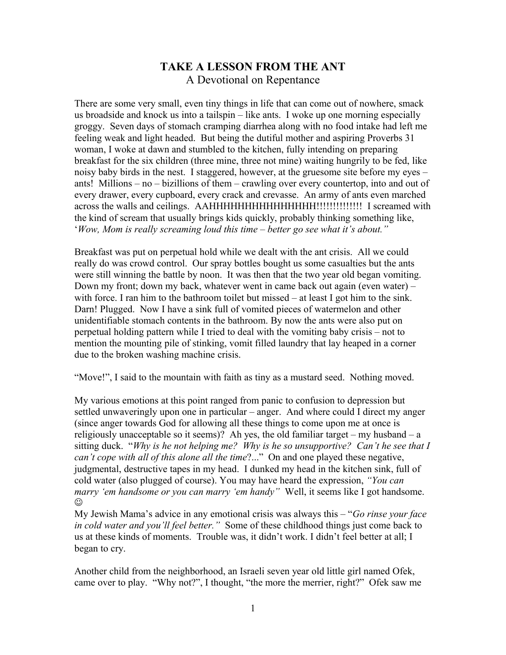## **TAKE A LESSON FROM THE ANT** A Devotional on Repentance

There are some very small, even tiny things in life that can come out of nowhere, smack us broadside and knock us into a tailspin – like ants. I woke up one morning especially groggy. Seven days of stomach cramping diarrhea along with no food intake had left me feeling weak and light headed. But being the dutiful mother and aspiring Proverbs 31 woman, I woke at dawn and stumbled to the kitchen, fully intending on preparing breakfast for the six children (three mine, three not mine) waiting hungrily to be fed, like noisy baby birds in the nest. I staggered, however, at the gruesome site before my eyes – ants! Millions – no – bizillions of them – crawling over every countertop, into and out of every drawer, every cupboard, every crack and crevasse. An army of ants even marched across the walls and ceilings. AAHHHHHHHHHHHHHHH!!!!!!!!!!!!!! I screamed with the kind of scream that usually brings kids quickly, probably thinking something like, '*Wow, Mom is really screaming loud this time – better go see what it's about."*

Breakfast was put on perpetual hold while we dealt with the ant crisis. All we could really do was crowd control. Our spray bottles bought us some casualties but the ants were still winning the battle by noon. It was then that the two year old began vomiting. Down my front; down my back, whatever went in came back out again (even water) – with force. I ran him to the bathroom toilet but missed  $-$  at least I got him to the sink. Darn! Plugged. Now I have a sink full of vomited pieces of watermelon and other unidentifiable stomach contents in the bathroom. By now the ants were also put on perpetual holding pattern while I tried to deal with the vomiting baby crisis – not to mention the mounting pile of stinking, vomit filled laundry that lay heaped in a corner due to the broken washing machine crisis.

"Move!", I said to the mountain with faith as tiny as a mustard seed. Nothing moved.

My various emotions at this point ranged from panic to confusion to depression but settled unwaveringly upon one in particular – anger. And where could I direct my anger (since anger towards God for allowing all these things to come upon me at once is religiously unacceptable so it seems)? Ah yes, the old familiar target – my husband – a sitting duck. "*Why is he not helping me? Why is he so unsupportive? Can't he see that I can't cope with all of this alone all the time*?..." On and one played these negative, judgmental, destructive tapes in my head. I dunked my head in the kitchen sink, full of cold water (also plugged of course). You may have heard the expression, *"You can marry 'em handsome or you can marry 'em handy"* Well, it seems like I got handsome. ☺

My Jewish Mama's advice in any emotional crisis was always this – "*Go rinse your face in cold water and you'll feel better."* Some of these childhood things just come back to us at these kinds of moments. Trouble was, it didn't work. I didn't feel better at all; I began to cry.

Another child from the neighborhood, an Israeli seven year old little girl named Ofek, came over to play. "Why not?", I thought, "the more the merrier, right?" Ofek saw me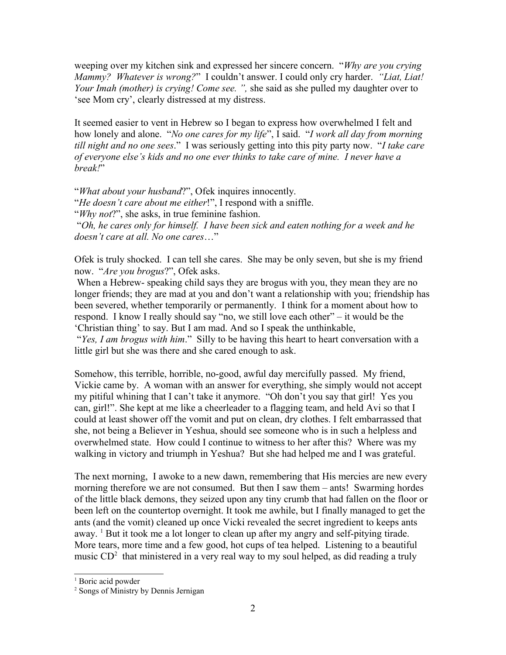weeping over my kitchen sink and expressed her sincere concern. "*Why are you crying Mammy? Whatever is wrong?*" I couldn't answer. I could only cry harder. *"Liat, Liat! Your Imah (mother) is crying! Come see. ",* she said as she pulled my daughter over to 'see Mom cry', clearly distressed at my distress.

It seemed easier to vent in Hebrew so I began to express how overwhelmed I felt and how lonely and alone. "*No one cares for my life*", I said. "*I work all day from morning till night and no one sees*." I was seriously getting into this pity party now. "*I take care of everyone else's kids and no one ever thinks to take care of mine. I never have a break!*"

"*What about your husband*?", Ofek inquires innocently. "*He doesn't care about me either*!", I respond with a sniffle. "*Why not*?", she asks, in true feminine fashion. "*Oh, he cares only for himself. I have been sick and eaten nothing for a week and he doesn't care at all. No one cares*…"

Ofek is truly shocked. I can tell she cares. She may be only seven, but she is my friend now. "*Are you brogus*?", Ofek asks.

 When a Hebrew- speaking child says they are brogus with you, they mean they are no longer friends; they are mad at you and don't want a relationship with you; friendship has been severed, whether temporarily or permanently. I think for a moment about how to respond. I know I really should say "no, we still love each other" – it would be the 'Christian thing' to say. But I am mad. And so I speak the unthinkable, "*Yes, I am brogus with him*." Silly to be having this heart to heart conversation with a little girl but she was there and she cared enough to ask.

Somehow, this terrible, horrible, no-good, awful day mercifully passed. My friend, Vickie came by. A woman with an answer for everything, she simply would not accept my pitiful whining that I can't take it anymore. "Oh don't you say that girl! Yes you can, girl!". She kept at me like a cheerleader to a flagging team, and held Avi so that I could at least shower off the vomit and put on clean, dry clothes. I felt embarrassed that she, not being a Believer in Yeshua, should see someone who is in such a helpless and overwhelmed state. How could I continue to witness to her after this? Where was my walking in victory and triumph in Yeshua? But she had helped me and I was grateful.

The next morning, I awoke to a new dawn, remembering that His mercies are new every morning therefore we are not consumed. But then I saw them – ants! Swarming hordes of the little black demons, they seized upon any tiny crumb that had fallen on the floor or been left on the countertop overnight. It took me awhile, but I finally managed to get the ants (and the vomit) cleaned up once Vicki revealed the secret ingredient to keeps ants away.  $1$  But it took me a lot longer to clean up after my angry and self-pitying tirade. More tears, more time and a few good, hot cups of tea helped. Listening to a beautiful music  $CD^2$  $CD^2$  that ministered in a very real way to my soul helped, as did reading a truly

<span id="page-1-0"></span><sup>&</sup>lt;sup>1</sup> Boric acid powder

<span id="page-1-1"></span><sup>2</sup> Songs of Ministry by Dennis Jernigan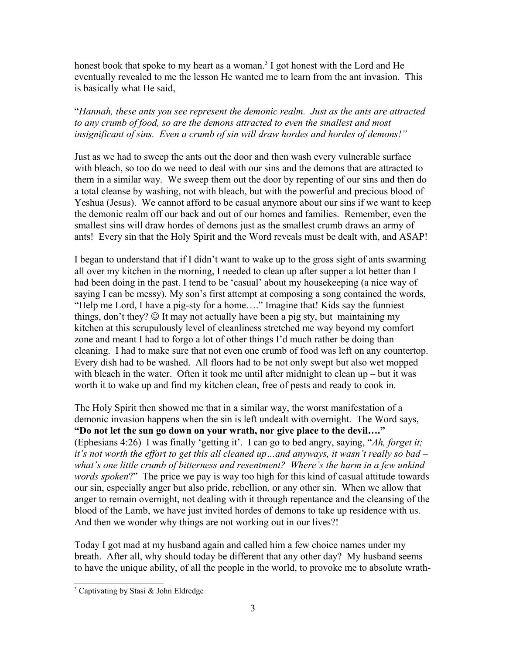honest book that spoke to my heart as a woman.<sup>[3](#page-2-0)</sup> I got honest with the Lord and He eventually revealed to me the lesson He wanted me to learn from the ant invasion. This is basically what He said,

"*Hannah, these ants you see represent the demonic realm. Just as the ants are attracted to any crumb of food, so are the demons attracted to even the smallest and most insignificant of sins. Even a crumb of sin will draw hordes and hordes of demons!"*

Just as we had to sweep the ants out the door and then wash every vulnerable surface with bleach, so too do we need to deal with our sins and the demons that are attracted to them in a similar way. We sweep them out the door by repenting of our sins and then do a total cleanse by washing, not with bleach, but with the powerful and precious blood of Yeshua (Jesus). We cannot afford to be casual anymore about our sins if we want to keep the demonic realm off our back and out of our homes and families. Remember, even the smallest sins will draw hordes of demons just as the smallest crumb draws an army of ants! Every sin that the Holy Spirit and the Word reveals must be dealt with, and ASAP!

I began to understand that if I didn't want to wake up to the gross sight of ants swarming all over my kitchen in the morning, I needed to clean up after supper a lot better than I had been doing in the past. I tend to be 'casual' about my housekeeping (a nice way of saying I can be messy). My son's first attempt at composing a song contained the words, "Help me Lord, I have a pig-sty for a home…." Imagine that! Kids say the funniest things, don't they?  $\circledcirc$  It may not actually have been a pig sty, but maintaining my kitchen at this scrupulously level of cleanliness stretched me way beyond my comfort zone and meant I had to forgo a lot of other things I'd much rather be doing than cleaning. I had to make sure that not even one crumb of food was left on any countertop. Every dish had to be washed. All floors had to be not only swept but also wet mopped with bleach in the water. Often it took me until after midnight to clean  $up$  – but it was worth it to wake up and find my kitchen clean, free of pests and ready to cook in.

The Holy Spirit then showed me that in a similar way, the worst manifestation of a demonic invasion happens when the sin is left undealt with overnight. The Word says, **"Do not let the sun go down on your wrath, nor give place to the devil…."** (Ephesians 4:26) I was finally 'getting it'. I can go to bed angry, saying, "*Ah, forget it; it's not worth the effort to get this all cleaned up…and anyways, it wasn't really so bad – what's one little crumb of bitterness and resentment? Where's the harm in a few unkind words spoken*?" The price we pay is way too high for this kind of casual attitude towards our sin, especially anger but also pride, rebellion, or any other sin. When we allow that anger to remain overnight, not dealing with it through repentance and the cleansing of the blood of the Lamb, we have just invited hordes of demons to take up residence with us. And then we wonder why things are not working out in our lives?!

Today I got mad at my husband again and called him a few choice names under my breath. After all, why should today be different that any other day? My husband seems to have the unique ability, of all the people in the world, to provoke me to absolute wrath-

<span id="page-2-0"></span><sup>3</sup> Captivating by Stasi & John Eldredge